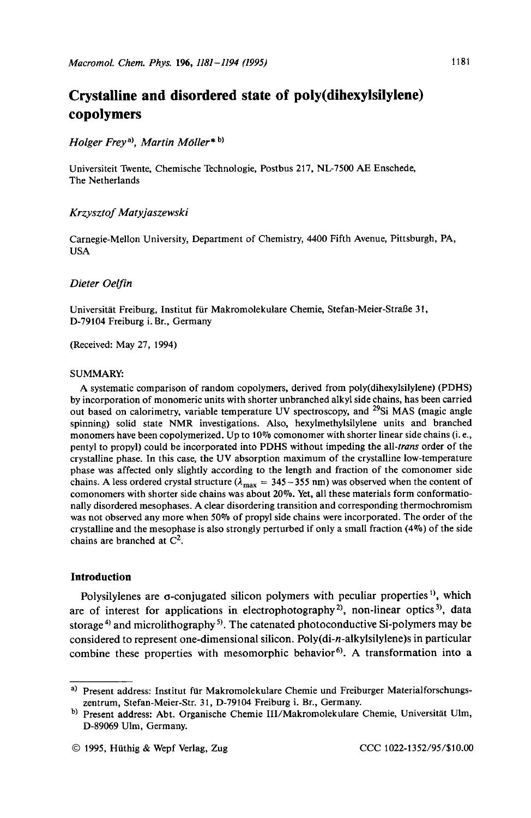# **Crystalline and disordered state of poly(dihexylsily1ene) copolymers**

# *Hoiger Freya), Martin Moiler\** **b,**

Universiteit Twente, Chemische Technologie, Postbus 217, NL-7500 AE Enschede, The Netherlands

# *Krzysztof Matyjaszewski*

Carnegie-Mellon University, Department of Chemistry, 4400 Fifth Avenue, Pittsburgh, PA, USA

## *Dieter Oelfn*

Universität Freiburg, Institut für Makromolekulare Chemie, Stefan-Meier-Straße 31, D-79104 Freiburg i. Br., Germany

(Received: May 27, 1994)

#### SUMMARY

A systematic comparison of random copolymers, derived from poly(dihexylsilylene) (PDHS) by incorporation of monomeric units with shorter unbranched alkyl side chains, has been carried out based on calorimetry, variable temperature UV spectroscopy, and <sup>29</sup>Si MAS (magic angle spinning) solid state NMR investigations. Also, hexylmethylsilylene units and branched monomers have been copolymerized. Up to 10% comonomer with shorter linear side chains (i.e., pentyl to propyl) could be incorporated into PDHS without impeding the *all-trans* order of the crystalline phase. In this case, the UV absorption maximum of the crystalline low-temperature phase was affected only slightly according to the length and fraction of the comonomer side chains. A less ordered crystal structure ( $\lambda_{\text{max}} = 345 - 355$  nm) was observed when the content of comonomers with shorter side chains was about 20%. Yet, all these materials form conformationally disordered mesophases. A clear disordering transition and corresponding thermochromism was not observed any more when 50% of propyl side chains were incorporated. The order of the crystalline and the mesophase is also strongly perturbed if only a small fraction  $(4\%)$  of the side chains are branched at  $C^2$ .

# **Introduction**

Polysilylenes are  $\sigma$ -conjugated silicon polymers with peculiar properties<sup>1</sup>, which are of interest for applications in electrophotography **2),** non-linear optics **3),** data storage<sup>4</sup> and microlithography<sup>5</sup>. The catenated photoconductive Si-polymers may be considered to represent one-dimensional silicon. **Poly(di-n-alkylsily1ene)s** in particular combine these properties with mesomorphic behavior<sup>6)</sup>. A transformation into a

**a)** Present address: Institut fur Makromolekulare Chemie und Freiburger Materialforschungszentrum, Stefan-Meier-Str. 31, D-79104 Freiburg i. Br., Germany.

b) Present address: Abt. Organische Chemie III/Makromolekulare Chemie, Universität Ulm, D-89069 Ulm, Germany.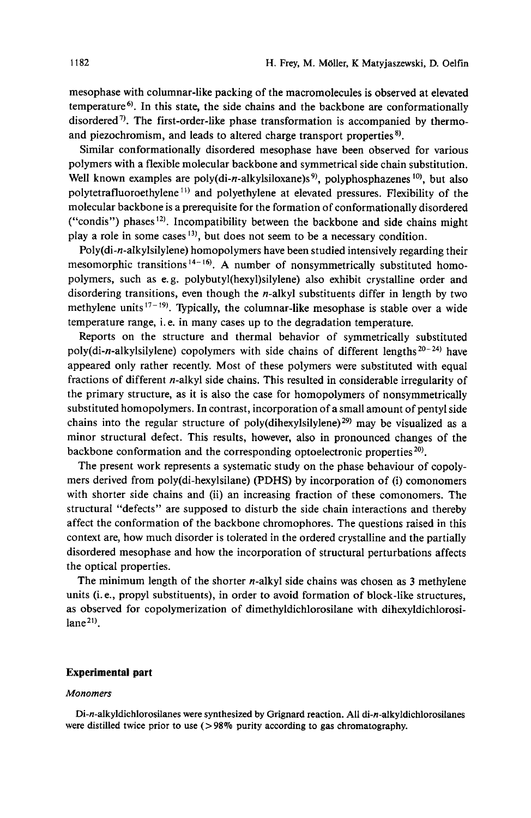mesophase with columnar-like packing of the macromolecules is observed at elevated temperature<sup>6)</sup>. In this state, the side chains and the backbone are conformationally disordered<sup> $\eta$ </sup>. The first-order-like phase transformation is accompanied by thermoand piezochromism, and leads to altered charge transport properties **8).** 

Similar conformationally disordered mesophase have been observed for various polymers with a flexible molecular backbone and symmetrical side chain substitution. Well known examples are poly(di-n-alkylsiloxane)s<sup>9)</sup>, polyphosphazenes<sup>10)</sup>, but also polytetrafluoroethylene<sup>11)</sup> and polyethylene at elevated pressures. Flexibility of the molecular backbone is a prerequisite for the formation of conformationally disordered ("condis") phases **12).** Incompatibility between the backbone and side chains might play a role in some cases **13),** but does not seem to be a necessary condition.

Poly(di-n-alkylsilylene) homopolymers have been studied intensively regarding their mesomorphic transitions **14- 16). A** number of nonsymmetrically substituted homopolymers, such as e. g. **polybutyl(hexyl)silylene)** also exhibit crystalline order and disordering transitions, even though the  $n$ -alkyl substituents differ in length by two methylene units<sup>17-19</sup>. Typically, the columnar-like mesophase is stable over a wide temperature range, i. e. in many cases up to the degradation temperature.

Reports on the structure and thermal behavior of symmetrically substituted **poly(di-n-alkylsilylene)** copolymers with side chains of different lengths **20-24)** have appeared only rather recently. Most of these polymers were substituted with equal fractions of different  $n$ -alkyl side chains. This resulted in considerable irregularity of the primary structure, as it is also the case for homopolymers of nonsymmetrically substituted homopolymers. In contrast, incorporation of a small amount of pentyl side chains into the regular structure of poly(dihexylsilylene)<sup>29</sup> may be visualized as a minor structural defect. This results, however, also in pronounced changes of the backbone conformation and the corresponding optoelectronic properties  $20$ .

The present work represents a systematic study on the phase behaviour of copolymers derived from poly(di-hexylsilane) (PDHS) by incorporation of (i) comonomers with shorter side chains and (ii) an increasing fraction of these comonomers. The structural "defects" are supposed to disturb the side chain interactions and thereby affect the conformation of the backbone chromophores. The questions raised in this context are, how much disorder is tolerated in the ordered crystalline and the partially disordered mesophase and how the incorporation of structural perturbations affects the optical properties.

The minimum length of the shorter n-alkyl side chains was chosen as 3 methylene units (i. e., propyl substituents), in order to avoid formation of block-like structures, as observed for copolymerization of dimethyldichlorosilane with dihexyldichlorosi $lane<sup>21</sup>$ .

# **Experimental part**

#### *Monomers*

**Di-n-alkyldichlorosilanes were synthesized by Grignard reaction. All di-n-alkyldichlorosilanes were distilled twice prior to use (>98% purity according to gas chromatography.**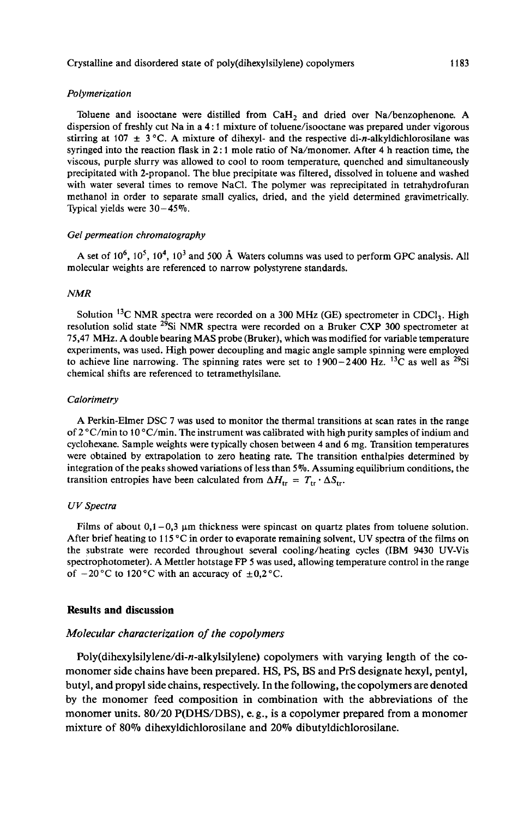#### *Polymerization*

Toluene and isooctane were distilled from  $CaH<sub>2</sub>$  and dried over Na/benzophenone. A dispersion of freshly cut Na in a **4** : **1** mixture of toluene/isooctane was prepared under vigorous stirring at 107  $\pm$  3 °C. A mixture of dihexyl- and the respective di-n-alkyldichlorosilane was syringed into the reaction flask in 2 : 1 mole ratio of Na/monomer. After **4** h reaction time, the viscous, purple slurry was allowed to cool to room temperature, quenched and simultaneously precipitated with 2-propanol. The blue precipitate was filtered, dissolved in toluene and washed with water several times to remove NaCl. The polymer was reprecipitated in tetrahydrofuran methanol in order to separate small cyalics, dried, and the yield determined gravimetrically. Typical yields were  $30-45\%$ .

#### *Gel permeation chromatography*

A set of 10<sup>6</sup>, 10<sup>5</sup>, 10<sup>4</sup>, 10<sup>3</sup> and 500 Å Waters columns was used to perform GPC analysis. All molecular weights are referenced to narrow polystyrene standards.

#### *NMR*

Solution <sup>13</sup>C NMR spectra were recorded on a 300 MHz (GE) spectrometer in CDCl<sub>3</sub>. High resolution solid state 29Si NMR spectra were recorded on a Bruker CXP **300** spectrometer at **75,47** MHz. A double bearing MAS probe (Bruker), which was modified for variable temperature experiments, **was** used. High power decoupling and magic angle sample spinning were employed to achieve line narrowing. The spinning rates were set to **1900-2400** Hz. 13C as well as 29Si chemical shifts are referenced to tetramethylsilane.

### *Calorimetry*

A Perkin-Elmer DSC **7** was used to monitor the thermal transitions at scan rates in the range of  $2^{\circ}$ C/min to 10 °C/min. The instrument was calibrated with high purity samples of indium and cyclohexane. Sample weights were typically chosen between **4** and 6 mg. Transition temperatures were obtained by extrapolation to zero heating rate. The transition enthalpies determined by integration of the peaks showed variations of less than **5%.** Assuming equilibrium conditions, the transition entropies have been calculated from  $\Delta H_{\text{tr}} = T_{\text{tr}} \cdot \Delta S_{\text{tr}}$ .

# *UV Spectra*

Films of about  $0,1-0,3$   $\mu$ m thickness were spincast on quartz plates from toluene solution. After brief heating to **115** "C in order to evaporate remaining solvent, UV spectra of the films on the substrate were recorded throughout several cooling/heating cycles (IBM **9430** UV-Vis spectrophotometer). A Mettler hotstage FP 5 was used, allowing temperature control in the range of  $-20$  °C to 120 °C with an accuracy of  $\pm 0.2$  °C.

#### **Results and discussion**

# *Molecular characterization of the copolymers*

**Poly(dihexylsilylene/di-n-alkylsilylene)** copolymers with varying length of the comonomer side chains have been prepared. **HS, PS, BS** and **PrS** designate hexyl, pentyl, butyl, and propyl side chains, respectively. In the following, the copolymers are denoted by the monomer feed composition in combination with the abbreviations of the monomer units. **80/20 P(DHS/DBS),** e. g., is a copolymer prepared from a monomer mixture of *80%* dihexyldichlorosilane and *20%* dibutyldichlorosilane.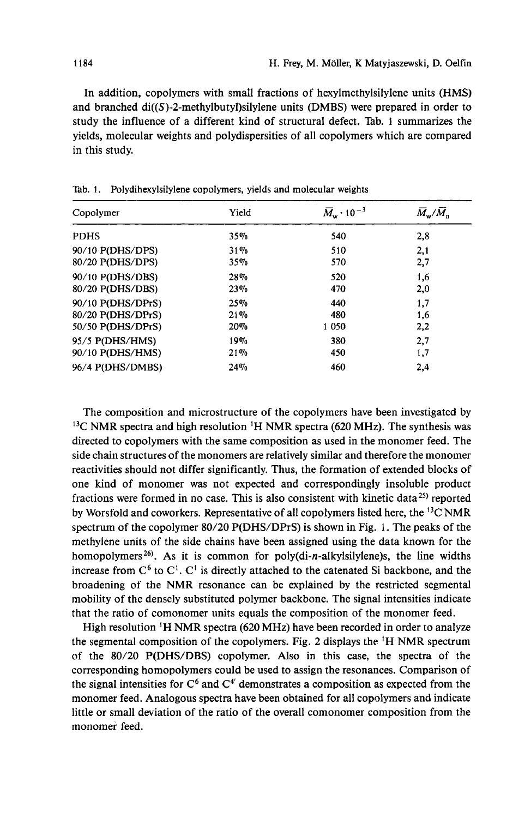In addition, copolymers with small fractions of hexylmethylsilylene units (HMS) and branched **di((S)-2-methylbutyl)silylene** units (DMBS) were prepared in order to study the influence of a different kind of structural defect. Tab. 1 summarizes the yields, molecular weights and polydispersities of all copolymers which are compared in this study.

| Copolymer         | Yield  | $\overline{M}_{\rm w}$ · 10 <sup>-3</sup> | $\overline{M}_{\rm w}/M_{\rm n}$ |  |
|-------------------|--------|-------------------------------------------|----------------------------------|--|
| <b>PDHS</b>       | 35%    | 540                                       | 2,8                              |  |
| 90/10 P(DHS/DPS)  | 31%    | 510                                       | 2,1                              |  |
| 80/20 P(DHS/DPS)  | 35%    | 570                                       | 2,7                              |  |
| 90/10 P(DHS/DBS)  | 28%    | 520                                       | 1,6                              |  |
| 80/20 P(DHS/DBS)  | $23\%$ | 470                                       | 2,0                              |  |
| 90/10 P(DHS/DPrS) | 25%    | 440                                       | 1,7                              |  |
| 80/20 P(DHS/DPrS) | 21%    | 480                                       | 1,6                              |  |
| 50/50 P(DHS/DPrS) | 20%    | 1 0 5 0                                   | 2,2                              |  |
| 95/5 P(DHS/HMS)   | 19%    | 380                                       | 2.7                              |  |
| 90/10 P(DHS/HMS)  | 21%    | 450                                       | 1,7                              |  |
| 96/4 P(DHS/DMBS)  | 24%    | 460                                       | 2,4                              |  |

**Tab. 1. Polydihexylsilylene copolymers, yields and molecular weights** 

The composition and microstructure of the copolymers have been investigated by 13C NMR spectra and high resolution **'H** NMR spectra **(620** MHz). The synthesis was directed to copolymers with the same composition as used in the monomer feed. The side chain structures of the monomers are relatively similar and therefore the monomer reactivities should not differ significantly. Thus, the formation of extended blocks of one kind of monomer was not expected and correspondingly insoluble product fractions were formed in no case. This is also consistent with kinetic data<sup>25)</sup> reported by Worsfold and coworkers. Representative of all copolymers listed here, the **I3C** NMR spectrum of the copolymer **80/20** P(DHS/DPrS) is shown in Fig. 1. The peaks of the methylene units of the side chains have been assigned using the data known for the homopolymers *26).* As it is common for **poly(di-n-alkylsilylene)s,** the line widths increase from  $C^6$  to  $C^1$ .  $C^1$  is directly attached to the catenated Si backbone, and the broadening of the NMR resonance can be explained by the restricted segmental mobility of the densely substituted polymer backbone. The signal intensities indicate that the ratio of comonomer units equals the composition of the monomer feed.

High resolution **'H** NMR spectra **(620** MHz) have been recorded in order to analyze the segmental composition of the copolymers. Fig. **2** displays the 'H NMR spectrum of the **80/20** P(DHS/DBS) copolymer. Also in this case, the spectra of the corresponding homopolymers could be used to assign the resonances. Comparison of the signal intensities for  $C^6$  and  $C^4$  demonstrates a composition as expected from the monomer feed. Analogous spectra have been obtained for all copolymers and indicate little or small deviation of the ratio of the overall comonomer composition from the monomer feed.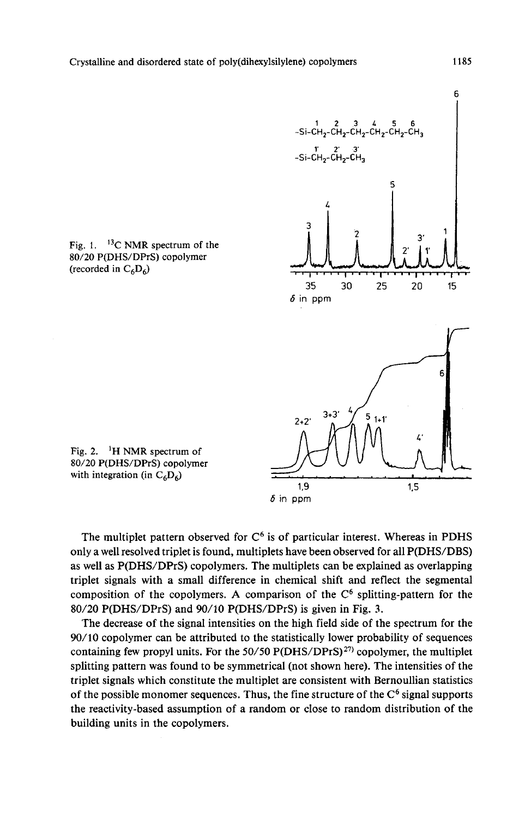

(recorded in  $C_6D_6$ )

Fig. 1. 13C **NMR** spectrum of the **80/20** P(DHS/DPrS) copolymer

Fig. **2. 'H NMR** spectrum **of**  80/20 P(DHS/DPrS) copolymer with integration (in  $C_6D_6$ )

The multiplet pattern observed for  $C<sup>6</sup>$  is of particular interest. Whereas in PDHS only a well resolved triplet is found, multiplets have been observed for all P(DHS/DBS) as well as P(DHS/DPrS) copolymers. The multiplets can be explained as overlapping triplet signals with **a** small difference in chemical shift and reflect the segmental composition of the copolymers. A comparison of the  $C<sup>6</sup>$  splitting-pattern for the **80/20** P(DHS/DPrS) and **90/10** P(DHS/DPrS) is given in Fig. **3.** 

The decrease of the signal intensities on the high field side of the spectrum for the **90/10** copolymer can be attributed to the statistically lower probability of sequences containing few propyl units. **For** the *50/50* P(DHS/DPrS)") copolymer, the multiplet splitting pattern was found to be symmetrical (not shown here). The intensities of the triplet signals which constitute the multiplet are consistent with Bernoullian statistics of the possible monomer sequences. Thus, the fine structure of the  $C<sup>6</sup>$  signal supports the reactivity-based assumption of a random or close to random distribution of the building units in the copolymers.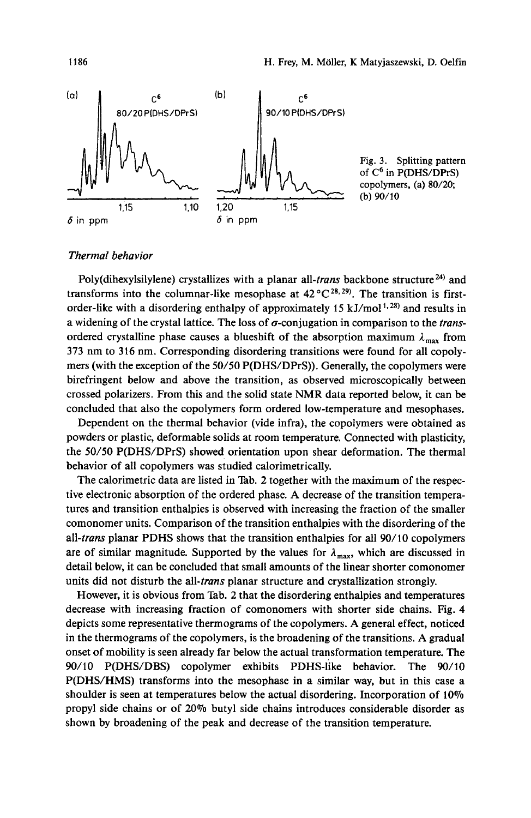

# Thermal behavior

Poly(dihexylsilylene) crystallizes with a planar all-*trans* backbone structure<sup>24)</sup> and transforms into the columnar-like mesophase at  $42^{\circ}C^{28,29}$ . The transition is firstorder-like with a disordering enthalpy of approximately 15 kJ/mol<sup>1,28)</sup> and results in a widening of the crystal lattice. The loss of  $\sigma$ -conjugation in comparison to the *trans*ordered crystalline phase causes a blueshift of the absorption maximum  $\lambda_{\text{max}}$  from **373** nm to **316** nm. Corresponding disordering transitions were found for all copolymers (with the exception **of** the **50/50** P(DHS/DPrS)). Generally, the copolymers were birefringent below and above the transition, as observed microscopically between crossed polarizers. From this and the solid state **NMR** data reported below, it can be concluded that also the copolymers form ordered low-temperature and mesophases.

Dependent on the thermal behavior (vide infra), the copolymers were obtained as powders or plastic, deformable solids at room temperature. Connected with plasticity, the *50150* P(DHS/DPrS) showed orientation upon shear deformation. The thermal behavior of all copolymers was studied calorimetrically.

The calorimetric data are listed in Tab. 2 together with the maximum of the respective electronic absorption of the ordered phase. **A** decrease of the transition temperatures and transition enthalpies is observed with increasing the fraction of the smaller comonomer units. Comparison of the transition enthalpies with the disordering of the all-trans planar PDHS shows that the transition enthalpies for all **90/** 10 copolymers are of similar magnitude. Supported by the values for  $\lambda_{\text{max}}$ , which are discussed in detail below, it can be concluded that small amounts of the linear shorter comonomer units did not disturb the all-*trans* planar structure and crystallization strongly.

However, it is obvious from Tab. 2 that the disordering enthalpies and temperatures decrease with increasing fraction of comonomers with shorter side chains. Fig. **4**  depicts some representative thermograms of the copolymers. **A** general effect, noticed in the thermograms of the copolymers, is the broadening of the transitions. **A** gradual onset of mobility is seen already far below the actual transformation temperature. The 90/10 P(DHS/DBS) copolymer exhibits PDHS-like behavior. The 90/10 P(DHS/HMS) transforms into the mesophase in a similar way, but in this case a shoulder is seen at temperatures below the actual disordering. Incorporation of 10% propyl side chains or of *20%* butyl side chains introduces considerable disorder as shown by broadening of the peak and decrease of the transition temperature.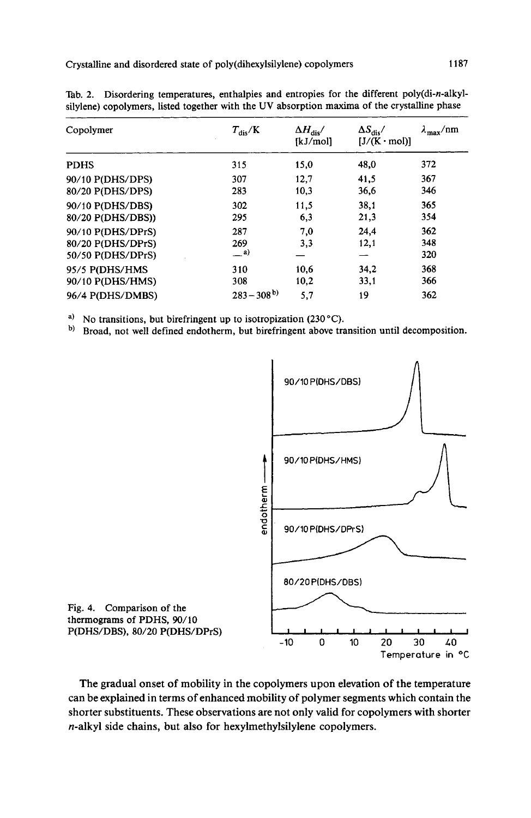| Copolymer         | $T_{\rm dis}/K$ | $\Delta H_{\rm dis}/$<br>[kJ/mol] | $\Delta S_{\rm dis}/$<br>$[J/(K \cdot mol)]$ | $\lambda_{\text{max}}/\text{nm}$ |
|-------------------|-----------------|-----------------------------------|----------------------------------------------|----------------------------------|
| <b>PDHS</b>       | 315             | 15,0                              | 48,0                                         | 372                              |
| 90/10 P(DHS/DPS)  | 307             | 12,7                              | 41,5                                         | 367                              |
| 80/20 P(DHS/DPS)  | 283             | 10,3                              | 36,6                                         | 346                              |
| 90/10 P(DHS/DBS)  | 302             | 11,5                              | 38.1                                         | 365                              |
| 80/20 P(DHS/DBS)) | 295             | 6,3                               | 21,3                                         | 354                              |
| 90/10 P(DHS/DPrS) | 287             | 7,0                               | 24.4                                         | 362                              |
| 80/20 P(DHS/DPrS) | 269             | 3,3                               | 12,1                                         | 348                              |
| 50/50 P(DHS/DPrS) | $^{a)}$         |                                   |                                              | 320                              |
| 95/5 P(DHS/HMS    | 310             | 10,6                              | 34,2                                         | 368                              |
| 90/10 P(DHS/HMS)  | 308             | 10,2                              | 33,1                                         | 366                              |
| 96/4 P(DHS/DMBS)  | $283 - 308^{b}$ | 5,7                               | 19                                           | 362                              |
|                   |                 |                                   |                                              |                                  |

Tab. 2. Disordering temperatures, enthalpies and entropies for the different poly(di-n-alkyl silylene) copolymers, listed together with the UV absorption maxima of the crystalline phase

<sup>a)</sup> No transitions, but birefringent up to isotropization (230 °C).

b) Broad, not well defined endotherm, but birefringent above transition until decomposition.



thermograms of PDHS, **90/10**  P(DHS/DBS), 80/20 P(DHS/DPrS)

The gradual onset of mobility in the copolymers upon elevation of the temperature can be explained in terms of enhanced mobility of polymer segments which contain the shorter substituents. These observations are not only valid for copolymers with shorter n-alkyl side chains, but also for hexylmethylsilylene copolymers.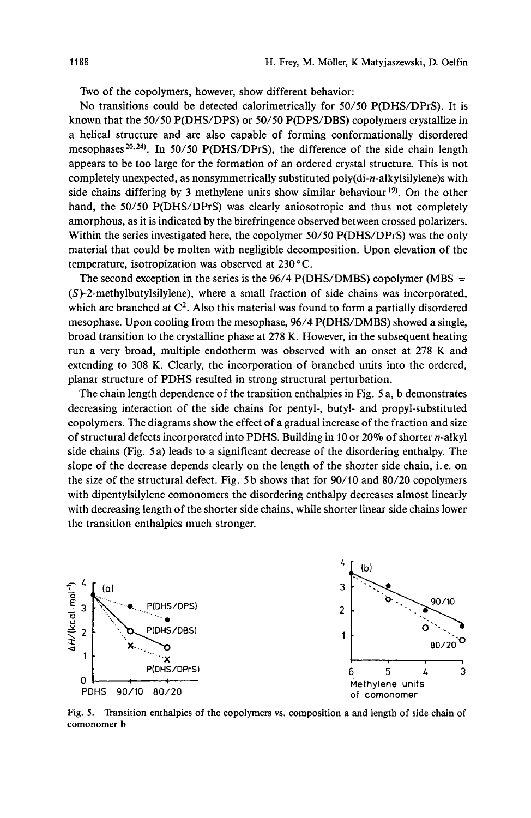Two of the copolymers, however, show different behavior:

No transitions could be detected calorimetrically for **50/50** P(DHS/DPrS). It is known that the **50/50** P(DHS/DPS) or **50/50** P(DPS/DBS) copolymers crystallize in a helical structure and are also capable of forming conformationally disordered mesophases<sup>20,24)</sup>. In 50/50 P(DHS/DPrS), the difference of the side chain length appears to be too large for the formation of an ordered crystal structure. This is not completely unexpected, as nonsymmetrically substituted **poly(di-n-alkylsily1ene)s** with side chains differing by 3 methylene units show similar behaviour<sup>19)</sup>. On the other hand, the **50/50** P(DHS/DPrS) was clearly aniosotropic and thus not completely amorphous, as it is indicated by the birefringence observed between crossed polarizers. Within the series investigated here, the copolymer **50/50** P(DHS/DPrS) was the only material that could be molten with negligible decomposition. Upon elevation of the temperature, isotropization was observed at **230** "C.

The second exception in the series is the  $96/4$  P(DHS/DMBS) copolymer (MBS  $=$ (S)-2-methylbutylsilylene), where a small fraction of side chains was incorporated, which are branched at C2. **Also** this material was found to form a partially disordered mesophase. Upon cooling from the mesophase, **96/4** P(DHS/DMBS) showed a single, broad transition to the crystalline phase at **278 K.** However, in the subsequent heating run a very broad, multiple endotherm was observed with an onset at **278** K and extending to **308 K.** Clearly, the incorporation of branched units into the ordered, planar structure of PDHS resulted in strong structural perturbation.

The chain length dependence of the transition enthalpies in Fig. *5* a, b demonstrates decreasing interaction of the side chains for pentyl-, butyl- and propyl-substituted copolymers. The diagrams show the effect of a gradual increase of the fraction and size of structural defects incorporated into PDHS. Building in 10 or **20%** of shorter n-alkyl side chains (Fig. *5* a) leads to a significant decrease of the disordering enthalpy. The slope of the decrease depends clearly on the length of the shorter side chain, i. e. on the size of the structural defect. Fig. *5* b shows that for 90/10 and **80/20** copolymers with dipentylsilylene comonomers the disordering enthalpy decreases almost linearly with decreasing length of the shorter side chains, while shorter linear side chains lower the transition enthalpies much stronger.



Fig. *5.* Transition enthalpies of the copolymers **vs.** composition **a** and length of side chain of comonomer **b**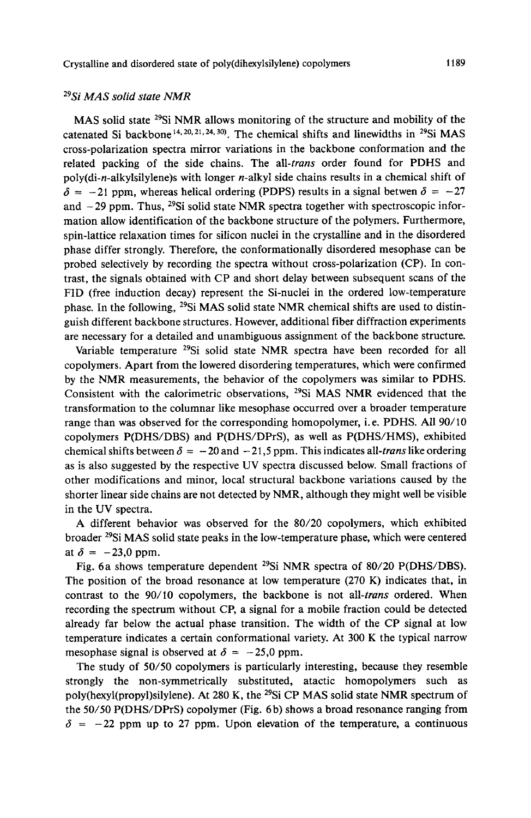# **29Si** *MAS solid* state *NMR*

MAS solid state 29Si NMR allows monitoring of the structure and mobility of the catenated Si backbone<sup>14, 20, 21, 24, 30). The chemical shifts and linewidths in <sup>29</sup>Si MAS</sup> cross-polarization spectra mirror variations in the backbone conformation and the related packing of the side chains. The all-trans order found for PDHS and **poly(di-n-alkylsi1ylene)s** with longer n-alkyl side chains results in a chemical shift of  $\delta = -21$  ppm, whereas helical ordering (PDPS) results in a signal betwen  $\delta = -27$ and  $-29$  ppm. Thus, <sup>29</sup>Si solid state NMR spectra together with spectroscopic information allow identification of the backbone structure of the polymers. Furthermore, spin-lattice relaxation times for silicon nuclei in the crystalline and in the disordered phase differ strongly. Therefore, the conformationally disordered mesophase can be probed selectively by recording the spectra without cross-polarization (CP). In contrast, the signals obtained with CP and short delay between subsequent scans of the FID (free induction decay) represent the Si-nuclei in the ordered low-temperature phase. In the following,  $^{29}$ Si MAS solid state NMR chemical shifts are used to distinguish different backbone structures. However, additional fiber diffraction experiments are necessary for a detailed and unambiguous assignment of the backbone structure.

Variable temperature <sup>29</sup>Si solid state NMR spectra have been recorded for all copolymers. Apart from the lowered disordering temperatures, which were confirmed by the NMR measurements, the behavior of the copolymers was similar to PDHS. Consistent with the calorimetric observations, 29Si MAS NMR evidenced that the transformation to the columnar like mesophase occurred over a broader temperature range than was observed for the corresponding homopolymer, i.e. PDHS. All **90/10**  copolymers P(DHS/DBS) and P(DHS/DPrS), as well as P(DHS/HMS), exhibited chemical shifts between  $\delta = -20$  and  $-21$ , 5 ppm. This indicates all-*trans* like ordering as is also suggested by the respective UV spectra discussed below. Small fractions of other modifications and minor, local structural backbone variations caused by the shorter linear side chains are not detected by NMR, although they might well be visible in the UV spectra.

A different behavior was observed for the **80/20** copolymers, which exhibited broader 29Si MAS solid state peaks in the low-temperature phase, which were centered at  $\delta = -23.0$  ppm.

Fig. 6a shows temperature dependent 29Si NMR spectra of **80/20** P(DHS/DBS). The position of the broad resonance at low temperature **(270** K) indicates that, in contrast to the *90/10* copolymers, the backbone is not all-trans ordered. When recording the spectrum without CP, a signal for a mobile fraction could be detected already far below the actual phase transition. The width of the CP signal at low temperature indicates a certain conformational variety. At **300 K** the typical narrow mesophase signal is observed at  $\delta = -25.0$  ppm.

The study of **50/50** copolymers is particularly interesting, because they resemble strongly the non-symmetrically substituted, atactic homopolymers such as **poly(hexyl(propy1)silylene).** At **280** K, the 29Si CP MAS solid state NMR spectrum of the **50/50** P(DHS/DPrS) copolymer (Fig. 6b) shows a broad resonance ranging from  $\delta$  =  $-22$  ppm up to 27 ppm. Upon elevation of the temperature, a continuous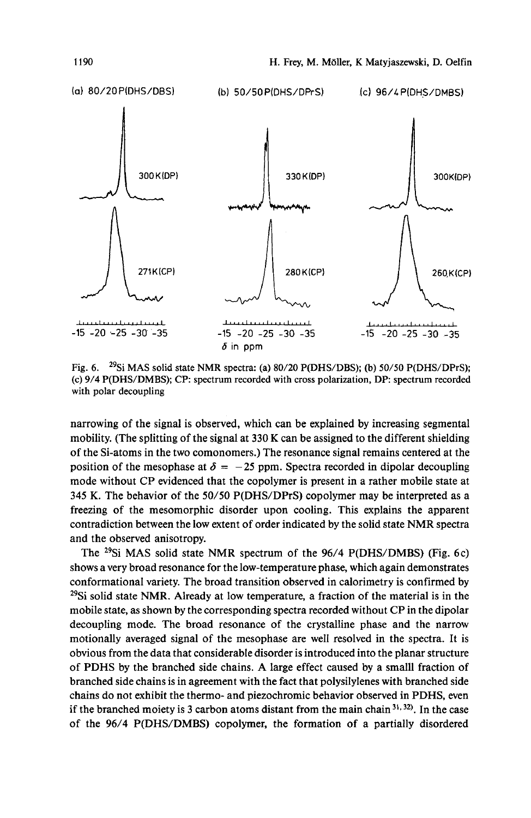

Fig. *6.* 29Si MAS solid state NMR spectra: (a) **80/20** P(DHS/DBS); **(b)** *50/50* P(DHS/DPrS); (c) **9/4** P(DHS/DMBS); **CP:** spectrum recorded with cross polarization, DP: spectrum recorded with polar decoupling

narrowing of the signal is observed, which can be explained by increasing segmental mobility. (The splitting of the signal at 330 K can be assigned to the different shielding of the Si-atoms in the two comonomers.) The resonance signal remains centered at the position of the mesophase at  $\delta = -25$  ppm. Spectra recorded in dipolar decoupling mode without CP evidenced that the copolymer is present in a rather mobile state at 345 K. The behavior of the 50/50 P(DHS/DPrS) copolymer may be interpreted as a freezing of the mesomorphic disorder upon cooling. This explains the apparent contradiction between the low extent of order indicated by the solid state NMR spectra and the observed anisotropy.

The  $^{29}Si$  MAS solid state NMR spectrum of the  $96/4$  P(DHS/DMBS) (Fig. 6c) shows a very broad resonance for the low-temperature phase, which again demonstrates conformational variety. The broad transition observed in calorimetry is confirmed by  $29\text{Si}$  solid state NMR. Already at low temperature, a fraction of the material is in the mobile state, as shown by the corresponding spectra recorded without CP in the dipolar decoupling mode. The broad resonance of the crystalline phase and the narrow motionally averaged signal of the mesophase are well resolved in the spectra. It is obvious from the data that considerable disorder is introduced into the planar structure of PDHS by the branched side chains. **A** large effect caused by a small1 fraction of branched side chains is in agreement with the fact that polysilylenes with branched side chains do not exhibit the thermo- and piezochromic behavior observed in PDHS, even if the branched moiety is 3 carbon atoms distant from the main chain  $31, 32$ . In the case of the 96/4 P(DHS/DMBS) copolymer, the formation of a partially disordered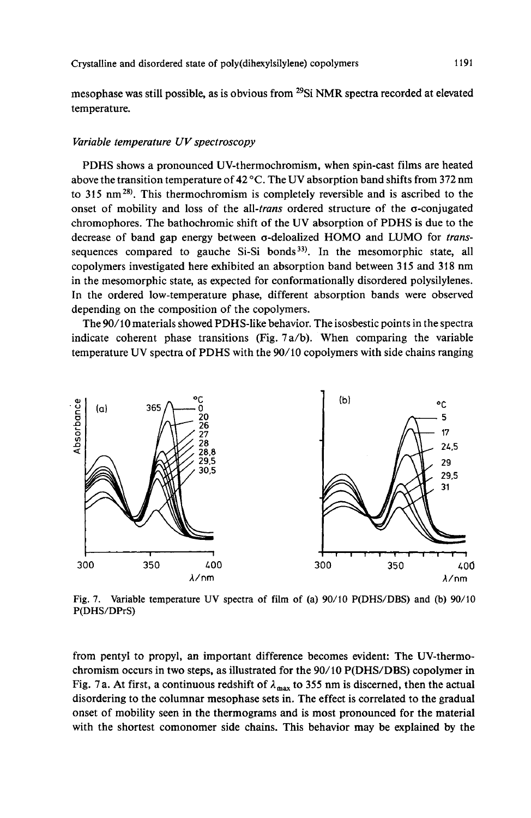mesophase was still possible, as is obvious from <sup>29</sup>Si NMR spectra recorded at elevated temperature.

#### Variable temperature UV spectroscopy

PDHS shows a pronounced UV-thermochromism, when spin-cast films are heated above the transition temperature of **42 "C.** The UV absorption band shifts from **372** nm to 315 nm<sup>28)</sup>. This thermochromism is completely reversible and is ascribed to the onset of mobility and loss of the all-trans ordered structure of the  $\sigma$ -conjugated chromophores. The bathochromic shift of the UV absorption of PDHS is due to the decrease of band gap energy between a-deloalized HOMO and LUMO for transsequences compared to gauche  $Si-Si$  bonds<sup>33)</sup>. In the mesomorphic state, all copolymers investigated here exhibited an absorption band between **3** 15 and 31 8 nm in the mesomorphic state, as expected for conformationally disordered polysilylenes. In the ordered low-temperature phase, different absorption bands were observed depending on the composition of the copolymers.

The 90/10 materials showed PDHS-like behavior. The isosbestic points in the spectra indicate coherent phase transitions (Fig. **7** a/b). When comparing the variable temperature UV spectra of PDHS with the **90/10** copolymers with side chains ranging



**Fig. 7. Variable temperature UV spectra of film of (a) 90/10 P(DHS/DBS) and (b) 90/10 P(DHS/DPrS)** 

from pentyl to propyl, an important difference becomes evident: The UV-thermochromism occurs in two steps, as illustrated for the 90/10 P(DHS/DBS) copolymer in Fig. 7a. At first, a continuous redshift of  $\lambda_{\text{max}}$  to 355 nm is discerned, then the actual disordering to the columnar mesophase sets in. The effect is correlated to the gradual onset of mobility seen in the thermograms and is most pronounced for the material with the shortest comonomer side chains. This behavior may be explained by the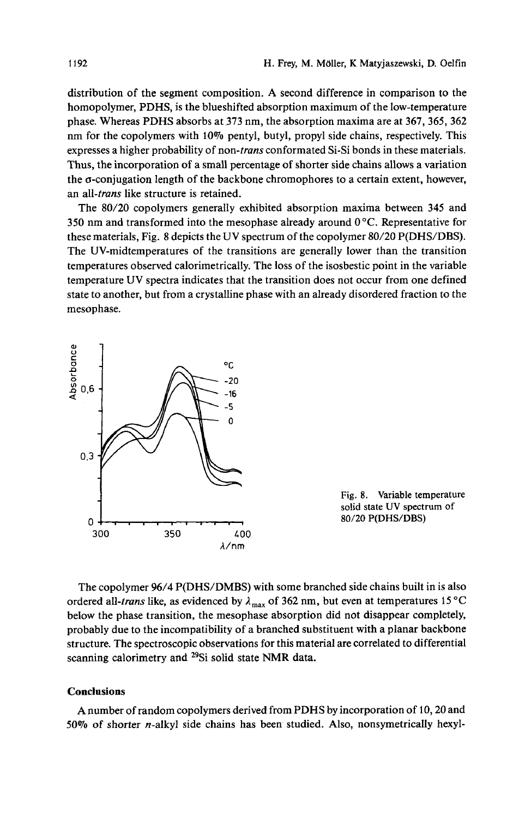distribution of the segment composition. A second difference in comparison to the homopolymer, **PDHS,** is the blueshifted absorption maximum of the low-temperature phase. Whereas **PDHS** absorbs at **373** nm, the absorption maxima are at **367,365, 362**  nm for the copolymers with 10% pentyl, butyl, propyl side chains, respectively. This expresses a higher probability of non-*trans* conformated Si-Si bonds in these materials. Thus, the incorporation of a small percentage of shorter side chains allows a variation the o-conjugation length of the backbone chromophores to a certain extent, however, an all-*trans* like structure is retained.

The **80/20** copolymers generally exhibited absorption maxima between **345** and **350** nm and transformed into the mesophase already around **0°C.** Representative for these materials, Fig. 8 depicts the UV spectrum of the copolymer 80/20 P(DHS/DBS). The UV-midtemperatures of the transitions are generally lower than the transition temperatures observed calorimetrically. The loss of the isosbestic point in the variable temperature UV spectra indicates that the transition does not occur from one defined state to another, but from a crystalline phase with an already disordered fraction to the mesophase.



**Fig. 8. Variable temperature solid state UV spectrum** of **80/20 P(DHS/DBS)** 

The copolymer **96/4 P(DHS/DMBS)** with some branched side chains built in is also ordered all-*trans* like, as evidenced by  $\lambda_{\text{max}}$  of 362 nm, but even at temperatures 15 °C below the phase transition, the mesophase absorption did not disappear completely, probably due to the incompatibility of a branched substituent with a planar backbone structure. The spectroscopic observations for this material are correlated to differential scanning calorimetry and 29Si solid state **NMR** data.

# **Conclusions**

A number of random copolymers derived from **PDHS** by incorporation of **10,20** and **50%** of shorter n-alkyl side chains has been studied. Also, nonsymetrically hexyl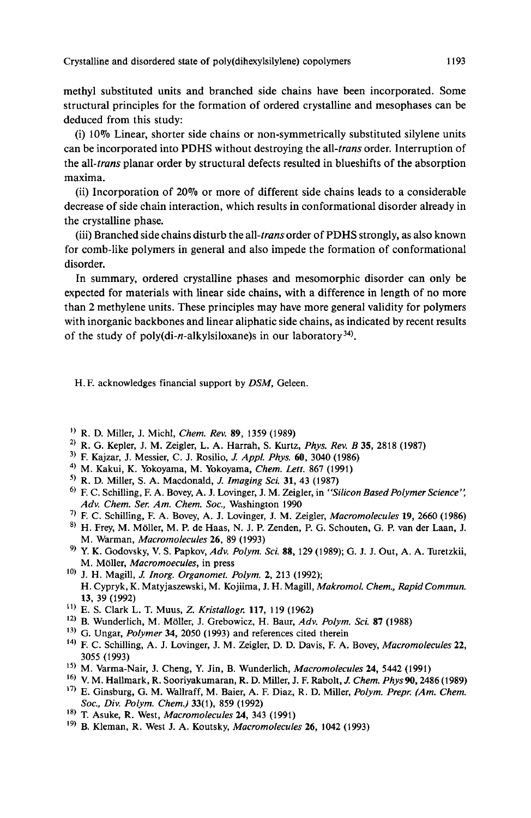methyl substituted units and branched side chains have been incorporated. Some structural principles for the formation of ordered crystalline and mesophases can be deduced from this study:

(i) 10% Linear, shorter side chains or non-symmetrically substituted silylene units can be incorporated into **PDHS** without destroying the all-trans order. Interruption of the all-trans planar order by structural defects resulted in blueshifts of the absorption maxima.

(ii) Incorporation of 20% or more of different side chains leads to a considerable decrease of side chain interaction, which results in conformational disorder already in the crystalline phase.

(iii) Branched side chains disturb the all-trans order of **PDHS** strongly, as also known for comb-like polymers in general and also impede the formation of conformational disorder.

In summary, ordered crystalline phases and mesomorphic disorder can only be expected for materials with linear side chains, with a difference in length of no more than **2** methylene units. These principles may have more general validity for polymers with inorganic backbones and linear aliphatic side chains, as indicated by recent results of the study of poly(di-n-alkylsiloxane)s in our laboratory<sup>34)</sup>.

H. F. acknowledges financial support by *DSM,* Geleen.

- R. D. Miller, **J.** Michl, *Chem. Rev. 89,* 1359 (1989)
- **2,** R. G. Kepler, J. M. Zeigler, L. A. Harrah, S. Kurtz, *Phys. Rev.* B *35,* 2818 (1987)
- **3, F.** Kajzar, J. Messier, C. **J.** Rosilio, *1 Appl. Phys. 60,* 3040 (1986)
- **4,** M. Kakui, K. Yokoyama, M. Yokoyama, *Chem.* Lett. 867 (1991)
- ') R. D. Miller, S. A. Macdonald, *J. Imaging Sci. 31,* 43 (1987)
- <sup>6)</sup> F. C. Schilling, F. A. Bovey, A. J. Lovinger, J. M. Zeigler, in *''Silicon Based Polymer Science''*, *Adv. Chem. Ser. Am. Chem. SOC.,* Washington 1990
- **7,** F. C. Schilling, F. A. Bovey, A. **J.** Lovinger, J. M. Zeigler, *Macromolecules 19,* 2660 (1986)
- $8)$  H. Frey, M. Möller, M. P. de Haas, N. J. P. Zenden, P. G. Schouten, G. P. van der Laan, J. M. Warman, *Macromolecules 26,* 89 (1993)
- ') Y. K. Godovsky, V. S. Papkov, *Adv. Polym. Sci. 88,* 129 (1989); G. J. J. Out, A. A. Turetzkii, M. Moller, *Macromoecules,* in press
- <sup>10)</sup> J. H. Magill, *J. Inorg. Organomet. Polym.* 2, 213 (1992); H. Cypryk, K. Matyjaszewski, M. Kojiima, J. H. Magill, *Makromol. Chem., Rapid Commun. 13,* 39 (1992)
- E. S. Clark L. T. Muus, *2. Kristallogr. 117,* 119 (1962)
- **12)** B. Wunderlich, M. Mdller, J. Grebowicz, H. Baur, *Adv. Polym. Sci. 87* (1988)
- **13)** G. Ungar, *Polymer 34,* 2050 (1993) and references cited therein
- **14)** F. C. Schilling, A. J. Lovinger, J. M. Zeigler, D. D. Davis, F. A. Bovey, *Macromolecules22,*  3055 (1993)
- **Is)** M. Varma-Nair, J. Cheng, Y. Jin, B. Wunderlich, *Macromolecules 24,* 5442 (1991)
- **16)** V. M. Hallmark, **R.** Sooriyakumaran, R. D. Miller, J. F. Rabolt, *1 Chem.* Phys90,2486 (1989)
- **17)** E. Ginsburg, G. M. Wallraff, M. Baier, A. F. Diaz, R. D. Miller, *Polym. Prepr. (Am. Chem. SOC., Div. Polym. Chem.) 33(1),* 859 (1992)
- **18)** T. Asuke, R. West, *Macromolecules 24,* 343 (1991)
- <sup>19)</sup> B. Kleman, R. West J. A. Koutsky, *Macromolecules* **26**, 1042 (1993)